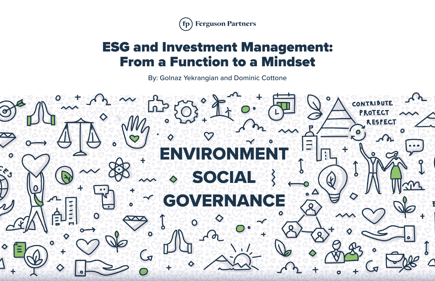

# ESG and Investment Management: From a Function to a Mindset

By: Golnaz Yekrangian and Dominic Cottone



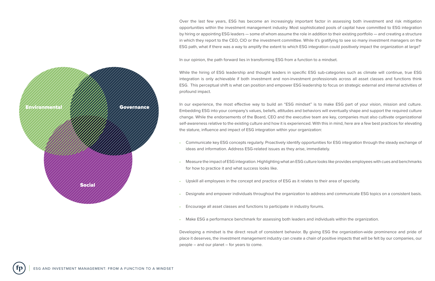Over the last few years, ESG has become an increasingly important factor in assessing both investment and risk mitigation opportunities within the investment management industry. Most sophisticated pools of capital have committed to ESG integration by hiring or appointing ESG leaders — some of whom assume the role in addition to their existing portfolio — and creating a structure in which they report to the CEO, CIO or the investment committee. While it's gratifying to see so many investment managers on the ESG path, what if there was a way to amplify the extent to which ESG integration could positively impact the organization at large?

In our opinion, the path forward lies in transforming ESG from a function to a mindset.

While the hiring of ESG leadership and thought leaders in specific ESG sub-categories such as climate will continue, true ESG integration is only achievable if both investment and non-investment professionals across all asset classes and functions think ESG. This perceptual shift is what can position and empower ESG leadership to focus on strategic external and internal activities of profound impact.

In our experience, the most effective way to build an "ESG mindset" is to make ESG part of your vision, mission and culture. Embedding ESG into your company's values, beliefs, attitudes and behaviors will eventually shape and support the required culture change. While the endorsements of the Board, CEO and the executive team are key, companies must also cultivate organizational self-awareness relative to the existing culture and how it is experienced. With this in mind, here are a few best practices for elevating the stature, influence and impact of ESG integration within your organization:

- Communicate key ESG concepts regularly. Proactively identify opportunities for ESG integration through the steady exchange of ideas and information. Address ESG-related issues as they arise, immediately.
- Measure the impact of ESG integration. Highlighting what an ESG culture looks like provides employees with cues and benchmarks for how to practice it and what success looks like.
- Upskill all employees in the concept and practice of ESG as it relates to their area of specialty.
- Designate and empower individuals throughout the organization to address and communicate ESG topics on a consistent basis.
- Encourage all asset classes and functions to participate in industry forums.
- Make ESG a performance benchmark for assessing both leaders and individuals within the organization.

Developing a mindset is the direct result of consistent behavior. By giving ESG the organization-wide prominence and pride of place it deserves, the investment management industry can create a chain of positive impacts that will be felt by our companies, our people – and our planet – for years to come.

Environmental Governance Social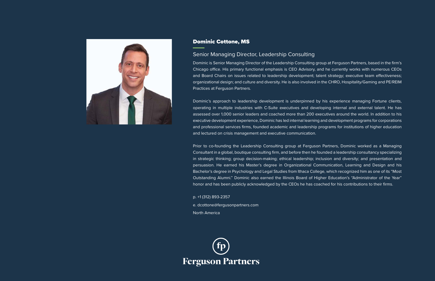Dominic is Senior Managing Director of the Leadership Consulting group at Ferguson Partners, based in the firm's Chicago office. His primary functional emphasis is CEO Advisory, and he currently works with numerous CEOs and Board Chairs on issues related to leadership development; talent strategy; executive team effectiveness; organizational design; and culture and diversity. He is also involved in the CHRO, Hospitality/Gaming and PE/REIM Practices at Ferguson Partners.

Dominic's approach to leadership development is underpinned by his experience managing Fortune clients, operating in multiple industries with C-Suite executives and developing internal and external talent. He has assessed over 1,000 senior leaders and coached more than 200 executives around the world. In addition to his executive development experience, Dominic has led internal learning and development programs for corporations and professional services firms, founded academic and leadership programs for institutions of higher education and lectured on crisis management and executive communication.

Prior to co-founding the Leadership Consulting group at Ferguson Partners, Dominic worked as a Managing Consultant in a global, boutique consulting firm, and before then he founded a leadership consultancy specializing in strategic thinking; group decision-making; ethical leadership; inclusion and diversity; and presentation and persuasion. He earned his Master's degree in Organizational Communication, Learning and Design and his Bachelor's degree in Psychology and Legal Studies from Ithaca College, which recognized him as one of its "Most Outstanding Alumni." Dominic also earned the Illinois Board of Higher Education's "Administrator of the Year" honor and has been publicly acknowledged by the CEOs he has coached for his contributions to their firms.

p. +1 (312) 893-2357

e. dcottone@fergusonpartners.com North America





### Dominic Cottone, MS

#### Senior Managing Director, Leadership Consulting